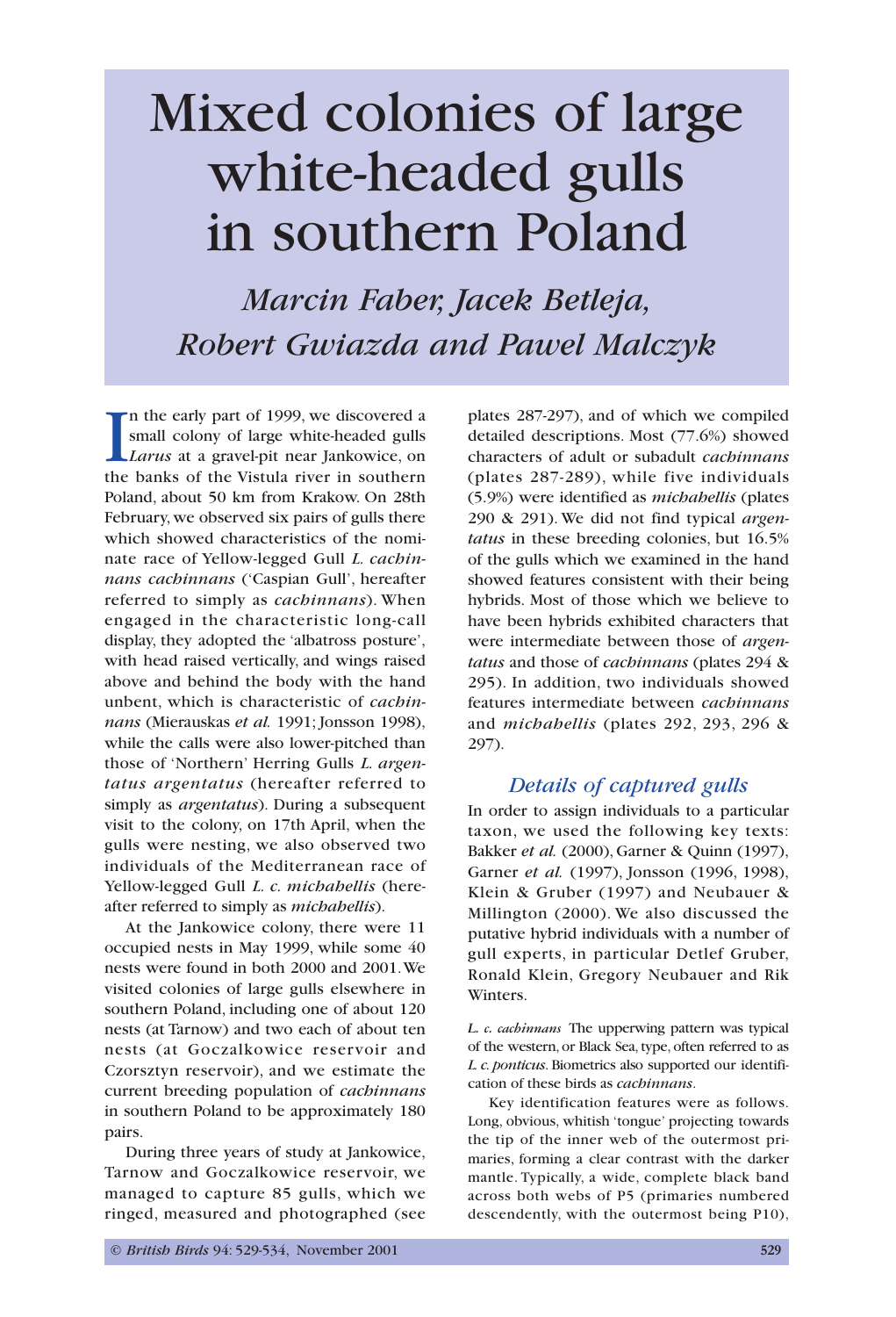# Mixed colonies of large white-headed gulls in southern Poland

*Marcin Faber, Jacek Betleja, Robert Gwiazda and Pawel Malczyk*

In the early part of 1999, we discovered a small colony of large white-headed gulls *Larus* at a gravel-pit near Jankowice, on the banks of the Vistula river in southern n the early part of 1999, we discovered a small colony of large white-headed gulls *Larus* at a gravel-pit near Jankowice, on Poland, about 50 km from Krakow. On 28th February, we observed six pairs of gulls there which showed characteristics of the nominate race of Yellow-legged Gull *L. cachinnans cachinnans* ('Caspian Gull', hereafter referred to simply as *cachinnans*). When engaged in the characteristic long-call display, they adopted the 'albatross posture', with head raised vertically, and wings raised above and behind the body with the hand unbent, which is characteristic of *cachinnans* (Mierauskas *et al.* 1991; Jonsson 1998), while the calls were also lower-pitched than those of 'Northern' Herring Gulls *L. argentatus argentatus* (hereafter referred to simply as *argentatus*). During a subsequent visit to the colony, on 17th April, when the gulls were nesting, we also observed two individuals of the Mediterranean race of Yellow-legged Gull *L. c. michahellis* (hereafter referred to simply as *michahellis*).

At the Jankowice colony, there were 11 occupied nests in May 1999, while some 40 nests were found in both 2000 and 2001.We visited colonies of large gulls elsewhere in southern Poland, including one of about 120 nests (at Tarnow) and two each of about ten nests (at Goczalkowice reservoir and Czorsztyn reservoir), and we estimate the current breeding population of *cachinnans* in southern Poland to be approximately 180 pairs.

During three years of study at Jankowice, Tarnow and Goczalkowice reservoir, we managed to capture 85 gulls, which we ringed, measured and photographed (see plates 287-297), and of which we compiled detailed descriptions. Most (77.6%) showed characters of adult or subadult *cachinnans* (plates 287-289), while five individuals (5.9%) were identified as *michahellis* (plates 290 & 291). We did not find typical *argentatus* in these breeding colonies, but 16.5% of the gulls which we examined in the hand showed features consistent with their being hybrids. Most of those which we believe to have been hybrids exhibited characters that were intermediate between those of *argentatus* and those of *cachinnans* (plates 294 & 295). In addition, two individuals showed features intermediate between *cachinnans* and *michahellis* (plates 292, 293, 296 & 297).

## *Details of captured gulls*

In order to assign individuals to a particular taxon, we used the following key texts: Bakker *et al.* (2000), Garner & Quinn (1997), Garner *et al.* (1997), Jonsson (1996, 1998), Klein & Gruber (1997) and Neubauer & Millington (2000). We also discussed the putative hybrid individuals with a number of gull experts, in particular Detlef Gruber, Ronald Klein, Gregory Neubauer and Rik Winters.

*L. c. cachinnans* The upperwing pattern was typical of the western, or Black Sea, type, often referred to as *L. c. ponticus*. Biometrics also supported our identification of these birds as *cachinnans*.

Key identification features were as follows. Long, obvious, whitish 'tongue' projecting towards the tip of the inner web of the outermost primaries, forming a clear contrast with the darker mantle. Typically, a wide, complete black band across both webs of P5 (primaries numbered descendently, with the outermost being P10),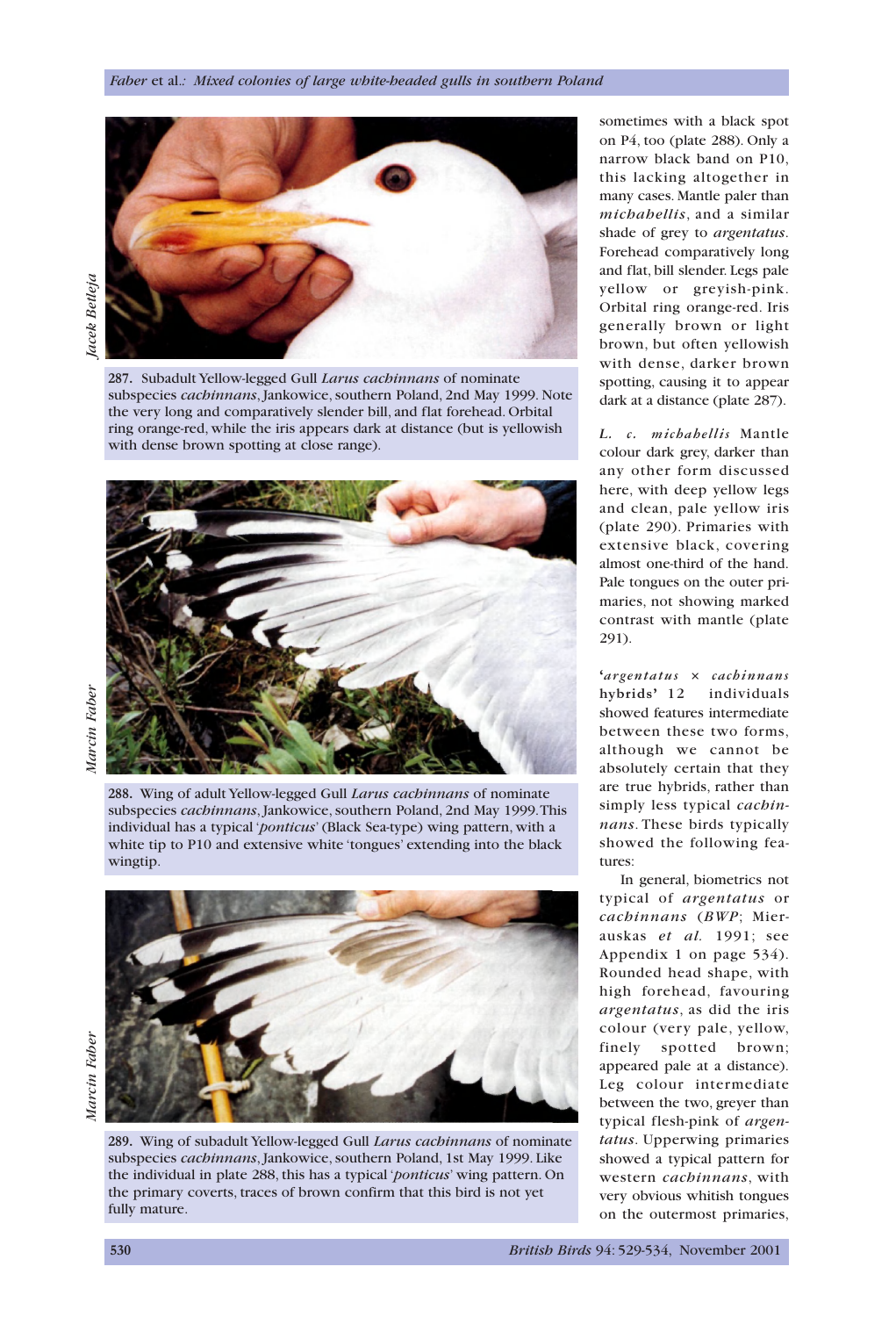

**287.** Subadult Yellow-legged Gull *Larus cachinnans* of nominate subspecies *cachinnans*, Jankowice, southern Poland, 2nd May 1999. Note the very long and comparatively slender bill, and flat forehead. Orbital ring orange-red, while the iris appears dark at distance (but is yellowish with dense brown spotting at close range).

**288.** Wing of adult Yellow-legged Gull *Larus cachinnans* of nominate subspecies *cachinnans*, Jankowice, southern Poland, 2nd May 1999.This individual has a typical '*ponticus*' (Black Sea-type) wing pattern, with a white tip to P10 and extensive white 'tongues' extending into the black wingtip.



Marcin Faber *Marcin Faber*

**289.** Wing of subadult Yellow-legged Gull *Larus cachinnans* of nominate subspecies *cachinnans*, Jankowice, southern Poland, 1st May 1999. Like the individual in plate 288, this has a typical '*ponticus*' wing pattern. On the primary coverts, traces of brown confirm that this bird is not yet fully mature.

sometimes with a black spot on P4, too (plate 288). Only a narrow black band on P10, this lacking altogether in many cases. Mantle paler than *michahellis*, and a similar shade of grey to *argentatus*. Forehead comparatively long and flat, bill slender. Legs pale yellow or greyish-pink. Orbital ring orange-red. Iris generally brown or light brown, but often yellowish with dense, darker brown spotting, causing it to appear dark at a distance (plate 287).

*L. c. michahellis* Mantle colour dark grey, darker than any other form discussed here, with deep yellow legs and clean, pale yellow iris (plate 290). Primaries with extensive black, covering almost one-third of the hand. Pale tongues on the outer primaries, not showing marked contrast with mantle (plate 291).

**'***argentatus* × *cachinnans* **hybrids'** 12 individuals showed features intermediate between these two forms, although we cannot be absolutely certain that they are true hybrids, rather than simply less typical *cachinnans*. These birds typically showed the following features:

In general, biometrics not typical of *argentatus* or *cachinnans* (*BWP*; Mierauskas *et al.* 1991; see Appendix 1 on page 534). Rounded head shape, with high forehead, favouring *argentatus*, as did the iris colour (very pale, yellow, finely spotted brown; appeared pale at a distance). Leg colour intermediate between the two, greyer than typical flesh-pink of *argentatus*. Upperwing primaries showed a typical pattern for western *cachinnans*, with very obvious whitish tongues on the outermost primaries,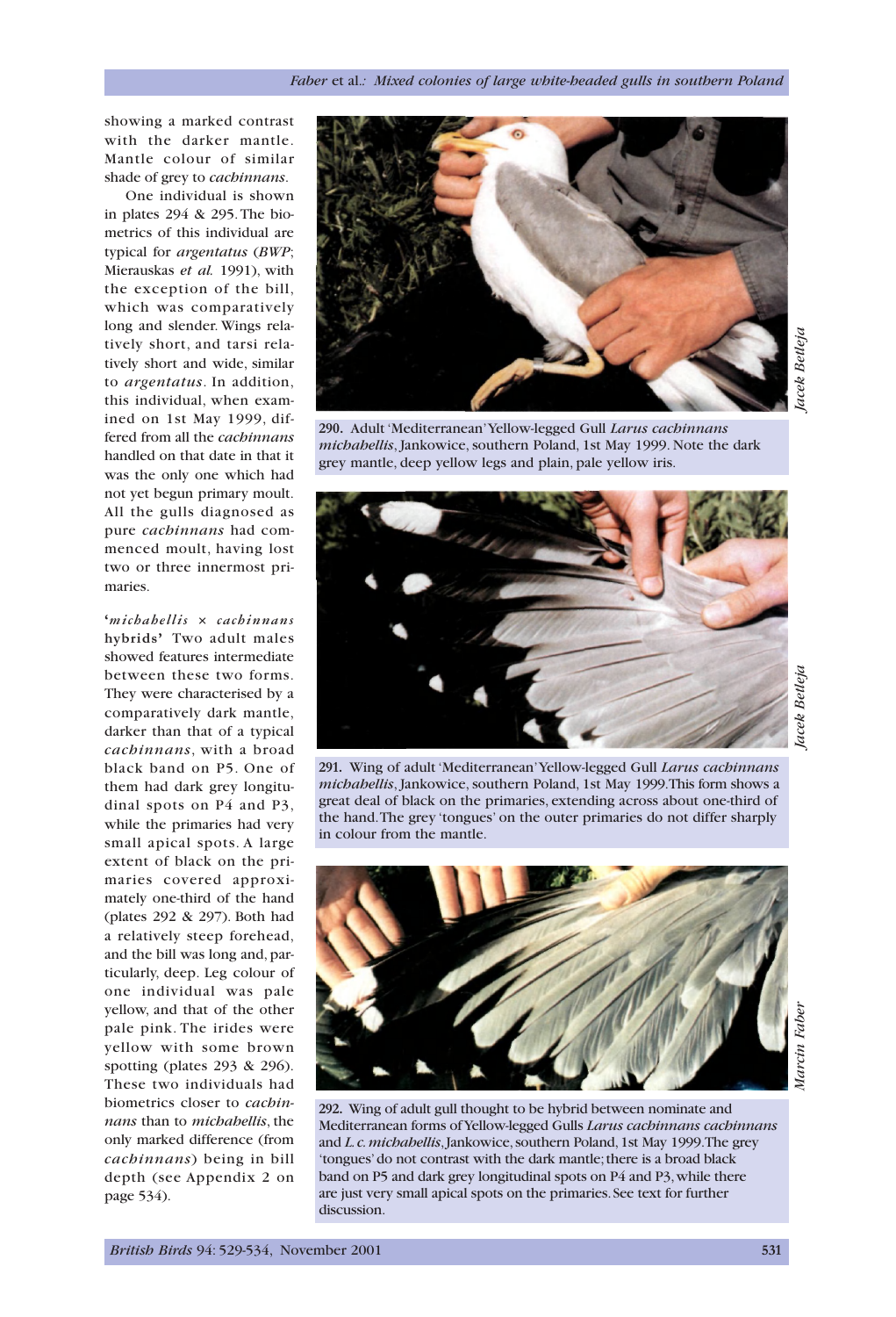showing a marked contrast with the darker mantle. Mantle colour of similar shade of grey to *cachinnans*.

One individual is shown in plates 294 & 295. The biometrics of this individual are typical for *argentatus* (*BWP*; Mierauskas *et al.* 1991), with the exception of the bill, which was comparatively long and slender. Wings relatively short, and tarsi relatively short and wide, similar to *argentatus*. In addition, this individual, when examined on 1st May 1999, differed from all the *cachinnans* handled on that date in that it was the only one which had not yet begun primary moult. All the gulls diagnosed as pure *cachinnans* had commenced moult, having lost two or three innermost primaries.

**'***michahellis* × *cachinnans* **hybrids'** Two adult males showed features intermediate between these two forms. They were characterised by a comparatively dark mantle, darker than that of a typical *cachinnans*, with a broad black band on P5. One of them had dark grey longitudinal spots on P4 and P3, while the primaries had very small apical spots. A large extent of black on the primaries covered approximately one-third of the hand (plates 292 & 297). Both had a relatively steep forehead, and the bill was long and, particularly, deep. Leg colour of one individual was pale yellow, and that of the other pale pink. The irides were yellow with some brown spotting (plates 293 & 296). These two individuals had biometrics closer to *cachinnans* than to *michahellis*, the only marked difference (from *cachinnans*) being in bill depth (see Appendix 2 on page 534).



**290.** Adult 'Mediterranean'Yellow-legged Gull *Larus cachinnans michahellis*, Jankowice, southern Poland, 1st May 1999. Note the dark grey mantle, deep yellow legs and plain, pale yellow iris.



lacek Betleja *Jacek Betleja*

**291.** Wing of adult 'Mediterranean'Yellow-legged Gull *Larus cachinnans michahellis*, Jankowice, southern Poland, 1st May 1999.This form shows a great deal of black on the primaries, extending across about one-third of the hand.The grey 'tongues' on the outer primaries do not differ sharply in colour from the mantle.



**292.** Wing of adult gull thought to be hybrid between nominate and Mediterranean forms of Yellow-legged Gulls *Larus cachinnans cachinnans* and *L.c.michahellis*,Jankowice,southern Poland,1st May 1999.The grey tongues' do not contrast with the dark mantle; there is a broad black band on P5 and dark grey longitudinal spots on P4 and P3, while there are just very small apical spots on the primaries.See text for further discussion.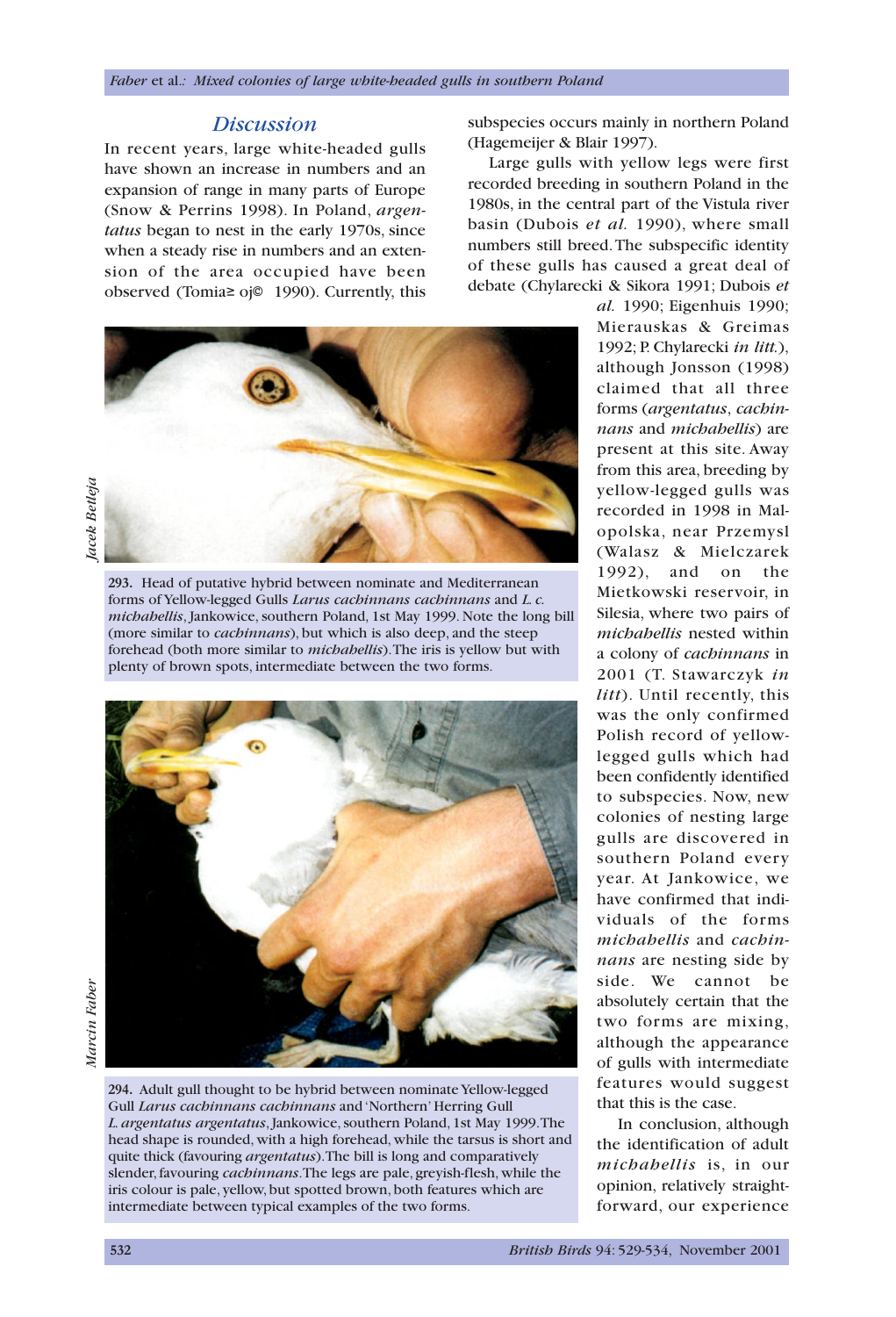## *Discussion*

In recent years, large white-headed gulls have shown an increase in numbers and an expansion of range in many parts of Europe (Snow & Perrins 1998). In Poland, *argentatus* began to nest in the early 1970s, since when a steady rise in numbers and an extension of the area occupied have been observed (Tomia≥ oj© 1990). Currently, this



**293.** Head of putative hybrid between nominate and Mediterranean forms of Yellow-legged Gulls *Larus cachinnans cachinnans* and *L. c. michahellis*, Jankowice, southern Poland, 1st May 1999. Note the long bill (more similar to *cachinnans*), but which is also deep, and the steep forehead (both more similar to *michahellis*).The iris is yellow but with plenty of brown spots, intermediate between the two forms.



**294.** Adult gull thought to be hybrid between nominate Yellow-legged Gull *Larus cachinnans cachinnans* and 'Northern' Herring Gull *L. argentatus argentatus*, Jankowice, southern Poland, 1st May 1999.The head shape is rounded, with a high forehead, while the tarsus is short and quite thick (favouring *argentatus*).The bill is long and comparatively slender, favouring *cachinnans*.The legs are pale, greyish-flesh, while the iris colour is pale, yellow, but spotted brown, both features which are intermediate between typical examples of the two forms.

subspecies occurs mainly in northern Poland (Hagemeijer & Blair 1997).

Large gulls with yellow legs were first recorded breeding in southern Poland in the 1980s, in the central part of the Vistula river basin (Dubois *et al.* 1990), where small numbers still breed.The subspecific identity of these gulls has caused a great deal of debate (Chylarecki & Sikora 1991; Dubois *et*

> *al.* 1990; Eigenhuis 1990; Mierauskas & Greimas 1992; P. Chylarecki *in litt.*), although Jonsson (1998) claimed that all three forms (*argentatus*, *cachinnans* and *michahellis*) are present at this site. Away from this area, breeding by yellow-legged gulls was recorded in 1998 in Malopolska, near Przemysl (Walasz & Mielczarek 1992), and on the Mietkowski reservoir, in Silesia, where two pairs of *michahellis* nested within a colony of *cachinnans* in 2001 (T. Stawarczyk *in litt*). Until recently, this was the only confirmed Polish record of yellowlegged gulls which had been confidently identified to subspecies. Now, new colonies of nesting large gulls are discovered in southern Poland every year. At Jankowice, we have confirmed that individuals of the forms *michahellis* and *cachinnans* are nesting side by side. We cannot be absolutely certain that the two forms are mixing, although the appearance of gulls with intermediate features would suggest that this is the case.

In conclusion, although the identification of adult *michahellis* is, in our opinion, relatively straightforward, our experience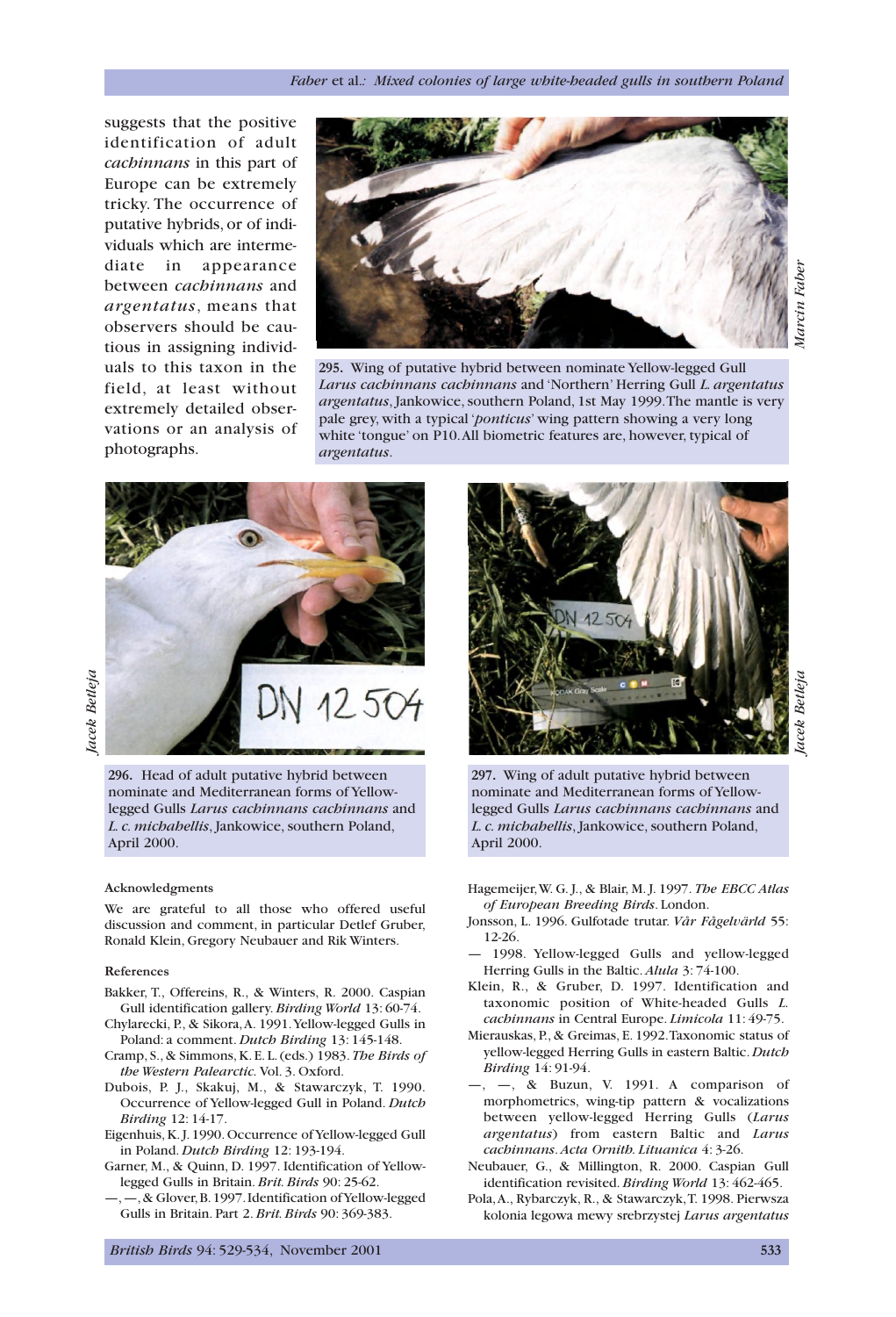suggests that the positive identification of adult *cachinnans* in this part of Europe can be extremely tricky. The occurrence of putative hybrids, or of individuals which are intermediate in appearance between *cachinnans* and *argentatus*, means that observers should be cautious in assigning individuals to this taxon in the field, at least without extremely detailed observations or an analysis of photographs.



**295.** Wing of putative hybrid between nominate Yellow-legged Gull *Larus cachinnans cachinnans* and 'Northern' Herring Gull *L. argentatus argentatus*, Jankowice, southern Poland, 1st May 1999.The mantle is very pale grey, with a typical '*ponticus*' wing pattern showing a very long white 'tongue' on P10.All biometric features are, however, typical of *argentatus*.



Jacek Betleja *Jacek Betleja*

> **296.** Head of adult putative hybrid between nominate and Mediterranean forms of Yellowlegged Gulls *Larus cachinnans cachinnans* and *L. c. michahellis*, Jankowice, southern Poland, April 2000.

### **Acknowledgments**

We are grateful to all those who offered useful discussion and comment, in particular Detlef Gruber, Ronald Klein, Gregory Neubauer and Rik Winters.

#### **References**

- Bakker, T., Offereins, R., & Winters, R. 2000. Caspian Gull identification gallery. *Birding World* 13: 60-74.
- Chylarecki, P., & Sikora,A. 1991.Yellow-legged Gulls in Poland: a comment. *Dutch Birding* 13: 145-148.
- Cramp, S., & Simmons, K. E. L. (eds.) 1983. *The Birds of the Western Palearctic.* Vol. 3. Oxford.
- Dubois, P. J., Skakuj, M., & Stawarczyk, T. 1990. Occurrence of Yellow-legged Gull in Poland. *Dutch Birding* 12: 14-17.
- Eigenhuis, K. J. 1990. Occurrence of Yellow-legged Gull in Poland. *Dutch Birding* 12: 193-194.
- Garner, M., & Quinn, D. 1997. Identification of Yellowlegged Gulls in Britain. *Brit. Birds* 90: 25-62.
- —,—,& Glover,B.1997.Identification of Yellow-legged Gulls in Britain. Part 2. *Brit. Birds* 90: 369-383.



**297.** Wing of adult putative hybrid between nominate and Mediterranean forms of Yellowlegged Gulls *Larus cachinnans cachinnans* and *L. c. michahellis*, Jankowice, southern Poland, April 2000.

- Hagemeijer,W. G. J., & Blair, M. J. 1997. *The EBCC Atlas of European Breeding Birds*. London.
- Jonsson, L. 1996. Gulfotade trutar. *Vår Fågelvärld* 55: 12-26.
- 1998. Yellow-legged Gulls and yellow-legged Herring Gulls in the Baltic. *Alula* 3: 74-100.
- Klein, R., & Gruber, D. 1997. Identification and taxonomic position of White-headed Gulls *L. cachinnans* in Central Europe. *Limicola* 11: 49-75.
- Mierauskas, P., & Greimas, E. 1992.Taxonomic status of yellow-legged Herring Gulls in eastern Baltic.*Dutch Birding* 14: 91-94.
- $\overline{a}$   $\overline{b}$  Buzun, V. 1991. A comparison of morphometrics, wing-tip pattern & vocalizations between yellow-legged Herring Gulls (*Larus argentatus*) from eastern Baltic and *Larus cachinnans*. *Acta Ornith. Lituanica* 4: 3-26.
- Neubauer, G., & Millington, R. 2000. Caspian Gull identification revisited. *Birding World* 13: 462-465.
- Pola,A., Rybarczyk, R., & Stawarczyk,T. 1998. Pierwsza kolonia legowa mewy srebrzystej *Larus argentatus*